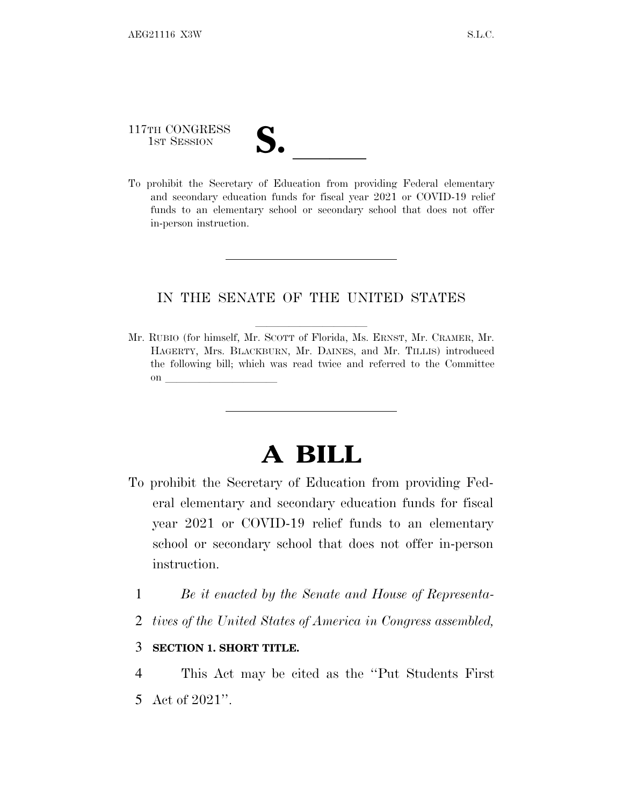# 117TH CONGRESS 117TH CONGRESS<br>
1ST SESSION<br>
To prohibit the Secretary of Education from providing Federal elementary

and secondary education funds for fiscal year 2021 or COVID-19 relief funds to an elementary school or secondary school that does not offer in-person instruction.

### IN THE SENATE OF THE UNITED STATES

Mr. RUBIO (for himself, Mr. SCOTT of Florida, Ms. ERNST, Mr. CRAMER, Mr. HAGERTY, Mrs. BLACKBURN, Mr. DAINES, and Mr. TILLIS) introduced the following bill; which was read twice and referred to the Committee on  $\overline{\qquad \qquad }$ 

## **A BILL**

- To prohibit the Secretary of Education from providing Federal elementary and secondary education funds for fiscal year 2021 or COVID-19 relief funds to an elementary school or secondary school that does not offer in-person instruction.
	- 1 *Be it enacted by the Senate and House of Representa-*
	- 2 *tives of the United States of America in Congress assembled,*

#### 3 **SECTION 1. SHORT TITLE.**

4 This Act may be cited as the ''Put Students First 5 Act of 2021''.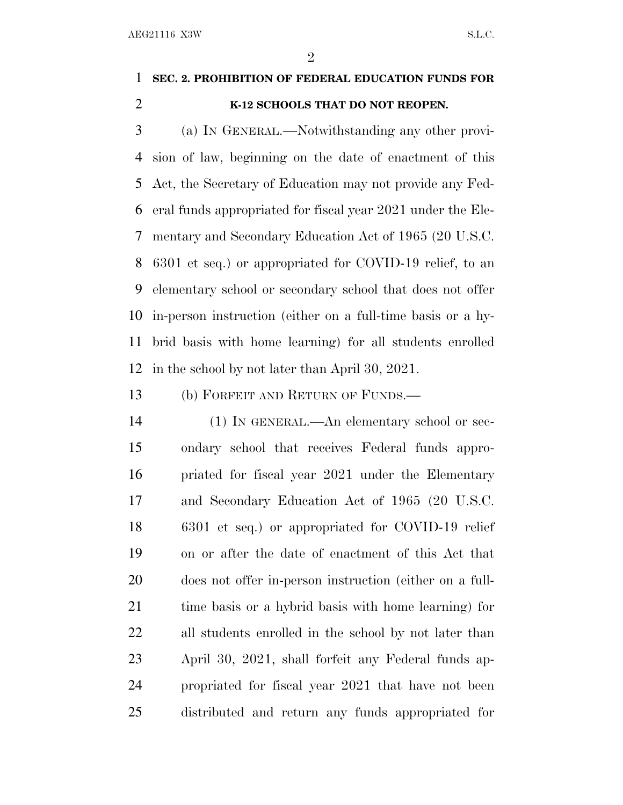$\mathfrak{D}$ 

### **SEC. 2. PROHIBITION OF FEDERAL EDUCATION FUNDS FOR K-12 SCHOOLS THAT DO NOT REOPEN.**

 (a) I<sup>N</sup> GENERAL.—Notwithstanding any other provi- sion of law, beginning on the date of enactment of this Act, the Secretary of Education may not provide any Fed- eral funds appropriated for fiscal year 2021 under the Ele- mentary and Secondary Education Act of 1965 (20 U.S.C. 6301 et seq.) or appropriated for COVID-19 relief, to an elementary school or secondary school that does not offer in-person instruction (either on a full-time basis or a hy- brid basis with home learning) for all students enrolled in the school by not later than April 30, 2021.

(b) FORFEIT AND RETURN OF FUNDS.—

 (1) IN GENERAL.—An elementary school or sec- ondary school that receives Federal funds appro- priated for fiscal year 2021 under the Elementary and Secondary Education Act of 1965 (20 U.S.C. 6301 et seq.) or appropriated for COVID-19 relief on or after the date of enactment of this Act that does not offer in-person instruction (either on a full- time basis or a hybrid basis with home learning) for all students enrolled in the school by not later than April 30, 2021, shall forfeit any Federal funds ap- propriated for fiscal year 2021 that have not been distributed and return any funds appropriated for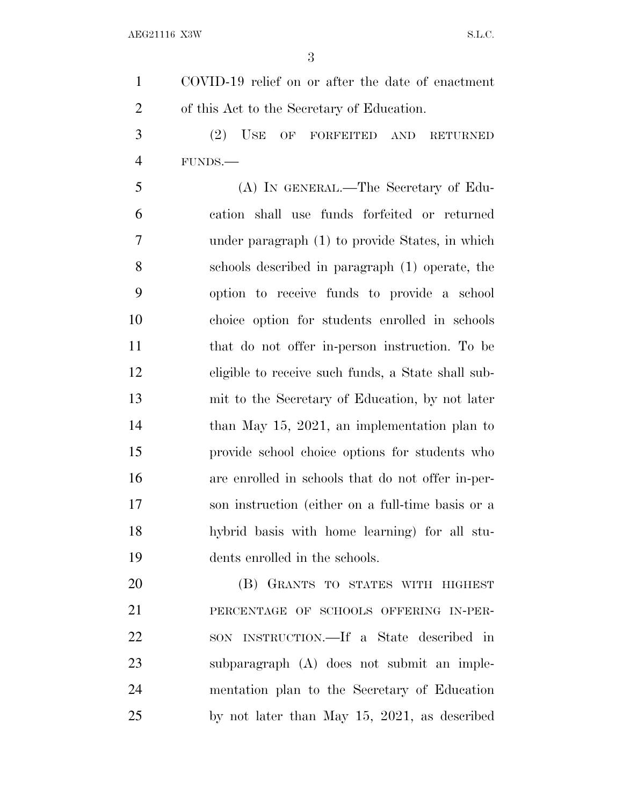COVID-19 relief on or after the date of enactment of this Act to the Secretary of Education. (2) USE OF FORFEITED AND RETURNED FUNDS.— (A) IN GENERAL.—The Secretary of Edu- cation shall use funds forfeited or returned under paragraph (1) to provide States, in which schools described in paragraph (1) operate, the option to receive funds to provide a school choice option for students enrolled in schools that do not offer in-person instruction. To be eligible to receive such funds, a State shall sub- mit to the Secretary of Education, by not later 14 than May 15, 2021, an implementation plan to provide school choice options for students who are enrolled in schools that do not offer in-per- son instruction (either on a full-time basis or a hybrid basis with home learning) for all stu- dents enrolled in the schools. (B) GRANTS TO STATES WITH HIGHEST PERCENTAGE OF SCHOOLS OFFERING IN-PER- SON INSTRUCTION.—If a State described in subparagraph (A) does not submit an imple-mentation plan to the Secretary of Education

by not later than May 15, 2021, as described